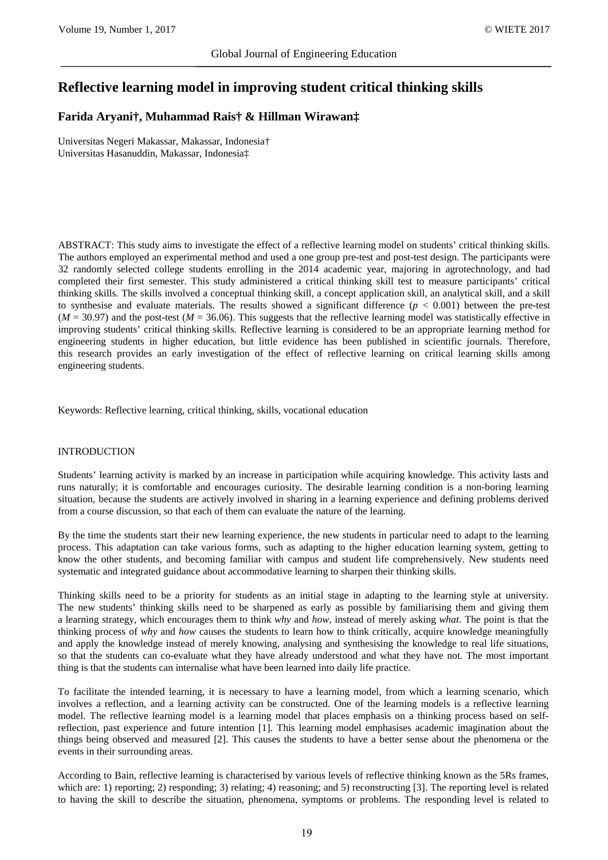# **Reflective learning model in improving student critical thinking skills**

## **Farida Aryani†, Muhammad Rais† & Hillman Wirawan‡**

Universitas Negeri Makassar, Makassar, Indonesia† Universitas Hasanuddin, Makassar, Indonesia‡

ABSTRACT: This study aims to investigate the effect of a reflective learning model on students' critical thinking skills. The authors employed an experimental method and used a one group pre-test and post-test design. The participants were 32 randomly selected college students enrolling in the 2014 academic year, majoring in agrotechnology, and had completed their first semester. This study administered a critical thinking skill test to measure participants' critical thinking skills. The skills involved a conceptual thinking skill, a concept application skill, an analytical skill, and a skill to synthesise and evaluate materials. The results showed a significant difference  $(p < 0.001)$  between the pre-test  $(M = 30.97)$  and the post-test  $(M = 36.06)$ . This suggests that the reflective learning model was statistically effective in improving students' critical thinking skills. Reflective learning is considered to be an appropriate learning method for engineering students in higher education, but little evidence has been published in scientific journals. Therefore, this research provides an early investigation of the effect of reflective learning on critical learning skills among engineering students.

Keywords: Reflective learning, critical thinking, skills, vocational education

#### INTRODUCTION

Students' learning activity is marked by an increase in participation while acquiring knowledge. This activity lasts and runs naturally; it is comfortable and encourages curiosity. The desirable learning condition is a non-boring learning situation, because the students are actively involved in sharing in a learning experience and defining problems derived from a course discussion, so that each of them can evaluate the nature of the learning.

By the time the students start their new learning experience, the new students in particular need to adapt to the learning process. This adaptation can take various forms, such as adapting to the higher education learning system, getting to know the other students, and becoming familiar with campus and student life comprehensively. New students need systematic and integrated guidance about accommodative learning to sharpen their thinking skills.

Thinking skills need to be a priority for students as an initial stage in adapting to the learning style at university. The new students' thinking skills need to be sharpened as early as possible by familiarising them and giving them a learning strategy, which encourages them to think *why* and *how*, instead of merely asking *what*. The point is that the thinking process of *why* and *how* causes the students to learn how to think critically, acquire knowledge meaningfully and apply the knowledge instead of merely knowing, analysing and synthesising the knowledge to real life situations, so that the students can co-evaluate what they have already understood and what they have not. The most important thing is that the students can internalise what have been learned into daily life practice.

To facilitate the intended learning, it is necessary to have a learning model, from which a learning scenario, which involves a reflection, and a learning activity can be constructed. One of the learning models is a reflective learning model. The reflective learning model is a learning model that places emphasis on a thinking process based on selfreflection, past experience and future intention [1]. This learning model emphasises academic imagination about the things being observed and measured [2]. This causes the students to have a better sense about the phenomena or the events in their surrounding areas.

According to Bain, reflective learning is characterised by various levels of reflective thinking known as the 5Rs frames, which are: 1) reporting; 2) responding; 3) relating; 4) reasoning; and 5) reconstructing [3]. The reporting level is related to having the skill to describe the situation, phenomena, symptoms or problems. The responding level is related to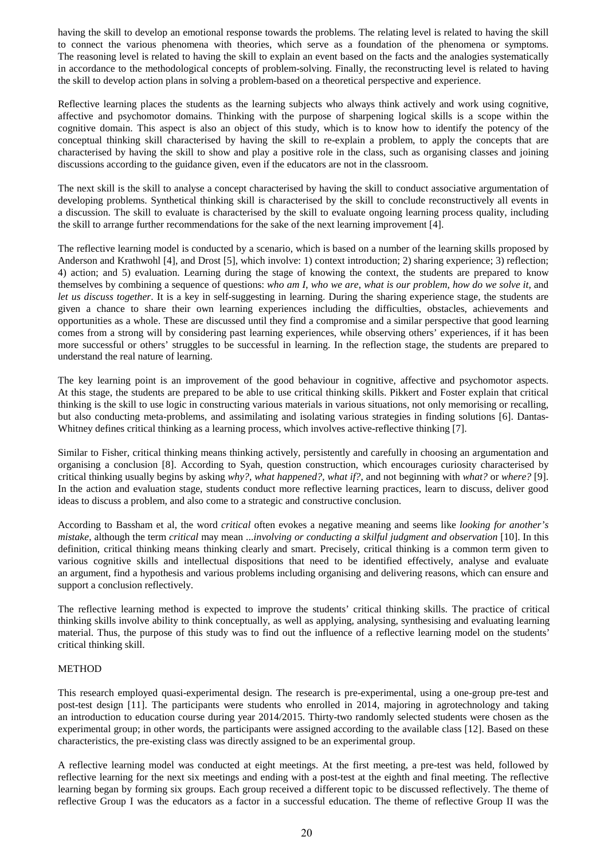having the skill to develop an emotional response towards the problems. The relating level is related to having the skill to connect the various phenomena with theories, which serve as a foundation of the phenomena or symptoms. The reasoning level is related to having the skill to explain an event based on the facts and the analogies systematically in accordance to the methodological concepts of problem-solving. Finally, the reconstructing level is related to having the skill to develop action plans in solving a problem-based on a theoretical perspective and experience.

Reflective learning places the students as the learning subjects who always think actively and work using cognitive, affective and psychomotor domains. Thinking with the purpose of sharpening logical skills is a scope within the cognitive domain. This aspect is also an object of this study, which is to know how to identify the potency of the conceptual thinking skill characterised by having the skill to re-explain a problem, to apply the concepts that are characterised by having the skill to show and play a positive role in the class, such as organising classes and joining discussions according to the guidance given, even if the educators are not in the classroom.

The next skill is the skill to analyse a concept characterised by having the skill to conduct associative argumentation of developing problems. Synthetical thinking skill is characterised by the skill to conclude reconstructively all events in a discussion. The skill to evaluate is characterised by the skill to evaluate ongoing learning process quality, including the skill to arrange further recommendations for the sake of the next learning improvement [4].

The reflective learning model is conducted by a scenario, which is based on a number of the learning skills proposed by Anderson and Krathwohl [4], and Drost [5], which involve: 1) context introduction; 2) sharing experience; 3) reflection; 4) action; and 5) evaluation. Learning during the stage of knowing the context, the students are prepared to know themselves by combining a sequence of questions: *who am I*, *who we are*, *what is our problem*, *how do we solve it*, and *let us discuss together*. It is a key in self-suggesting in learning. During the sharing experience stage, the students are given a chance to share their own learning experiences including the difficulties, obstacles, achievements and opportunities as a whole. These are discussed until they find a compromise and a similar perspective that good learning comes from a strong will by considering past learning experiences, while observing others' experiences, if it has been more successful or others' struggles to be successful in learning. In the reflection stage, the students are prepared to understand the real nature of learning.

The key learning point is an improvement of the good behaviour in cognitive, affective and psychomotor aspects. At this stage, the students are prepared to be able to use critical thinking skills. Pikkert and Foster explain that critical thinking is the skill to use logic in constructing various materials in various situations, not only memorising or recalling, but also conducting meta-problems, and assimilating and isolating various strategies in finding solutions [6]. Dantas-Whitney defines critical thinking as a learning process, which involves active-reflective thinking [7].

Similar to Fisher, critical thinking means thinking actively, persistently and carefully in choosing an argumentation and organising a conclusion [8]. According to Syah, question construction, which encourages curiosity characterised by critical thinking usually begins by asking *why?*, *what happened?*, *what if?*, and not beginning with *what?* or *where?* [9]. In the action and evaluation stage, students conduct more reflective learning practices, learn to discuss, deliver good ideas to discuss a problem, and also come to a strategic and constructive conclusion.

According to Bassham et al, the word *critical* often evokes a negative meaning and seems like *looking for another's mistake*, although the term *critical* may mean ...*involving or conducting a skilful judgment and observation* [10]. In this definition, critical thinking means thinking clearly and smart. Precisely, critical thinking is a common term given to various cognitive skills and intellectual dispositions that need to be identified effectively, analyse and evaluate an argument, find a hypothesis and various problems including organising and delivering reasons, which can ensure and support a conclusion reflectively.

The reflective learning method is expected to improve the students' critical thinking skills. The practice of critical thinking skills involve ability to think conceptually, as well as applying, analysing, synthesising and evaluating learning material. Thus, the purpose of this study was to find out the influence of a reflective learning model on the students' critical thinking skill.

## METHOD

This research employed quasi-experimental design. The research is pre-experimental, using a one-group pre-test and post-test design [11]. The participants were students who enrolled in 2014, majoring in agrotechnology and taking an introduction to education course during year 2014/2015. Thirty-two randomly selected students were chosen as the experimental group; in other words, the participants were assigned according to the available class [12]. Based on these characteristics, the pre-existing class was directly assigned to be an experimental group.

A reflective learning model was conducted at eight meetings. At the first meeting, a pre-test was held, followed by reflective learning for the next six meetings and ending with a post-test at the eighth and final meeting. The reflective learning began by forming six groups. Each group received a different topic to be discussed reflectively. The theme of reflective Group I was the educators as a factor in a successful education. The theme of reflective Group II was the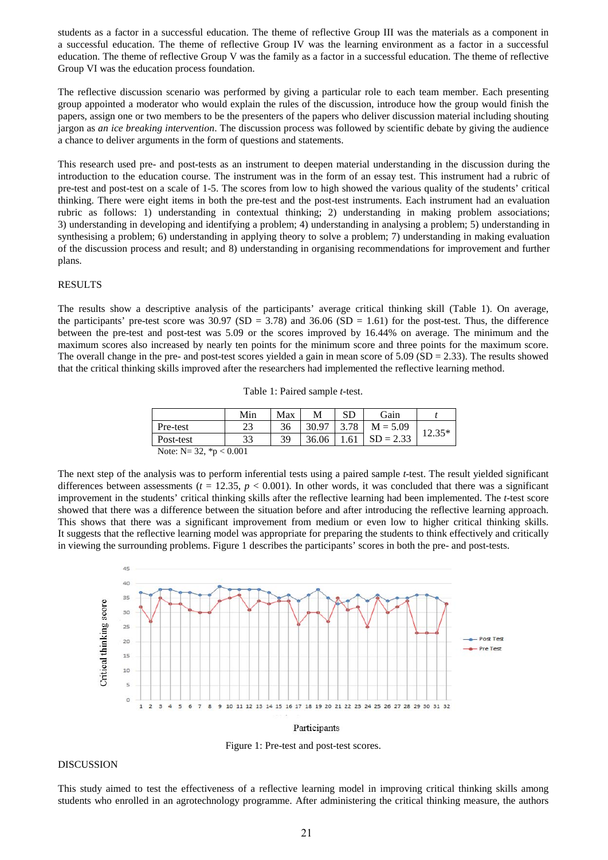students as a factor in a successful education. The theme of reflective Group III was the materials as a component in a successful education. The theme of reflective Group IV was the learning environment as a factor in a successful education. The theme of reflective Group V was the family as a factor in a successful education. The theme of reflective Group VI was the education process foundation.

The reflective discussion scenario was performed by giving a particular role to each team member. Each presenting group appointed a moderator who would explain the rules of the discussion, introduce how the group would finish the papers, assign one or two members to be the presenters of the papers who deliver discussion material including shouting jargon as *an ice breaking intervention*. The discussion process was followed by scientific debate by giving the audience a chance to deliver arguments in the form of questions and statements.

This research used pre- and post-tests as an instrument to deepen material understanding in the discussion during the introduction to the education course. The instrument was in the form of an essay test. This instrument had a rubric of pre-test and post-test on a scale of 1-5. The scores from low to high showed the various quality of the students' critical thinking. There were eight items in both the pre-test and the post-test instruments. Each instrument had an evaluation rubric as follows: 1) understanding in contextual thinking; 2) understanding in making problem associations; 3) understanding in developing and identifying a problem; 4) understanding in analysing a problem; 5) understanding in synthesising a problem; 6) understanding in applying theory to solve a problem; 7) understanding in making evaluation of the discussion process and result; and 8) understanding in organising recommendations for improvement and further plans.

#### RESULTS

The results show a descriptive analysis of the participants' average critical thinking skill (Table 1). On average, the participants' pre-test score was  $30.97$  (SD = 3.78) and  $36.06$  (SD = 1.61) for the post-test. Thus, the difference between the pre-test and post-test was 5.09 or the scores improved by 16.44% on average. The minimum and the maximum scores also increased by nearly ten points for the minimum score and three points for the maximum score. The overall change in the pre- and post-test scores yielded a gain in mean score of  $5.09$  (SD = 2.33). The results showed that the critical thinking skills improved after the researchers had implemented the reflective learning method.

| Table 1: Paired sample <i>t</i> -test. |  |  |
|----------------------------------------|--|--|
|----------------------------------------|--|--|

|                                       | Min | Max | М     | SD   | <b>Gain</b> |         |
|---------------------------------------|-----|-----|-------|------|-------------|---------|
| Pre-test                              | رے  | 36  |       | 3.78 | $M = 5.09$  | $25*$   |
| Post-test                             | 33  | 39  | 36.06 |      | $SD = 2.33$ | ل د. ۱۷ |
| 0.001<br>$\mathbf{A}$<br>$\mathbf{X}$ |     |     |       |      |             |         |

Note: N= 32, \*p < 0.001

The next step of the analysis was to perform inferential tests using a paired sample *t*-test. The result yielded significant differences between assessments ( $t = 12.35$ ,  $p < 0.001$ ). In other words, it was concluded that there was a significant improvement in the students' critical thinking skills after the reflective learning had been implemented. The *t*-test score showed that there was a difference between the situation before and after introducing the reflective learning approach. This shows that there was a significant improvement from medium or even low to higher critical thinking skills. It suggests that the reflective learning model was appropriate for preparing the students to think effectively and critically in viewing the surrounding problems. Figure 1 describes the participants' scores in both the pre- and post-tests.



Participants

Figure 1: Pre-test and post-test scores.

#### DISCUSSION

This study aimed to test the effectiveness of a reflective learning model in improving critical thinking skills among students who enrolled in an agrotechnology programme. After administering the critical thinking measure, the authors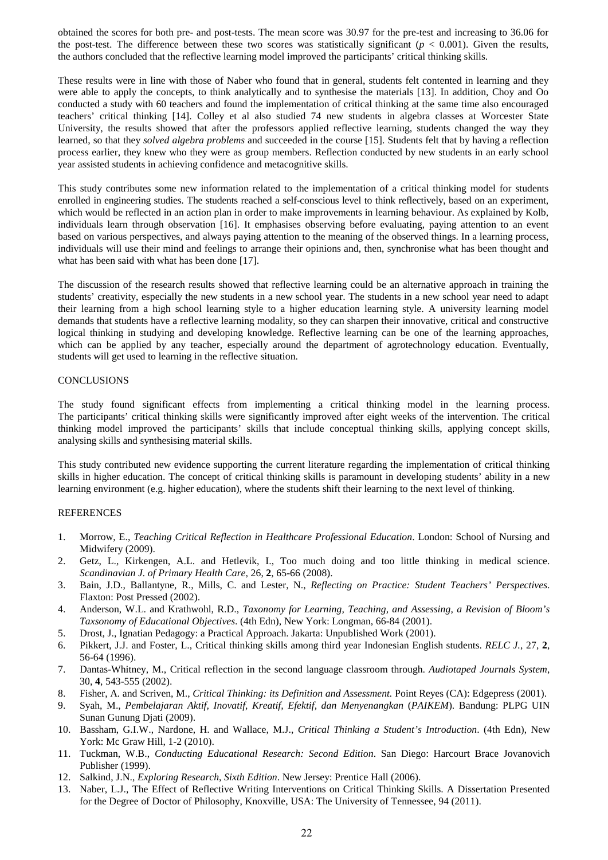obtained the scores for both pre- and post-tests. The mean score was 30.97 for the pre-test and increasing to 36.06 for the post-test. The difference between these two scores was statistically significant  $(p < 0.001)$ . Given the results, the authors concluded that the reflective learning model improved the participants' critical thinking skills.

These results were in line with those of Naber who found that in general, students felt contented in learning and they were able to apply the concepts, to think analytically and to synthesise the materials [13]. In addition, Choy and Oo conducted a study with 60 teachers and found the implementation of critical thinking at the same time also encouraged teachers' critical thinking [14]. Colley et al also studied 74 new students in algebra classes at Worcester State University, the results showed that after the professors applied reflective learning, students changed the way they learned, so that they *solved algebra problems* and succeeded in the course [15]. Students felt that by having a reflection process earlier, they knew who they were as group members. Reflection conducted by new students in an early school year assisted students in achieving confidence and metacognitive skills.

This study contributes some new information related to the implementation of a critical thinking model for students enrolled in engineering studies. The students reached a self-conscious level to think reflectively, based on an experiment, which would be reflected in an action plan in order to make improvements in learning behaviour. As explained by Kolb, individuals learn through observation [16]. It emphasises observing before evaluating, paying attention to an event based on various perspectives, and always paying attention to the meaning of the observed things. In a learning process, individuals will use their mind and feelings to arrange their opinions and, then, synchronise what has been thought and what has been said with what has been done [17].

The discussion of the research results showed that reflective learning could be an alternative approach in training the students' creativity, especially the new students in a new school year. The students in a new school year need to adapt their learning from a high school learning style to a higher education learning style. A university learning model demands that students have a reflective learning modality, so they can sharpen their innovative, critical and constructive logical thinking in studying and developing knowledge. Reflective learning can be one of the learning approaches, which can be applied by any teacher, especially around the department of agrotechnology education. Eventually, students will get used to learning in the reflective situation.

### CONCLUSIONS

The study found significant effects from implementing a critical thinking model in the learning process. The participants' critical thinking skills were significantly improved after eight weeks of the intervention. The critical thinking model improved the participants' skills that include conceptual thinking skills, applying concept skills, analysing skills and synthesising material skills.

This study contributed new evidence supporting the current literature regarding the implementation of critical thinking skills in higher education. The concept of critical thinking skills is paramount in developing students' ability in a new learning environment (e.g. higher education), where the students shift their learning to the next level of thinking.

#### REFERENCES

- 1. Morrow, E., *Teaching Critical Reflection in Healthcare Professional Education*. London: School of Nursing and Midwifery (2009).
- 2. Getz, L., Kirkengen, A.L. and Hetlevik, I., Too much doing and too little thinking in medical science. *Scandinavian J. of Primary Health Care,* 26, **2**, 65-66 (2008).
- 3. Bain, J.D., Ballantyne, R., Mills, C. and Lester, N., *Reflecting on Practice: Student Teachers' Perspectives*. Flaxton: Post Pressed (2002).
- 4. Anderson, W.L. and Krathwohl, R.D., *Taxonomy for Learning, Teaching, and Assessing, a Revision of Bloom's Taxsonomy of Educational Objectives*. (4th Edn), New York: Longman, 66-84 (2001).
- 5. Drost, J., Ignatian Pedagogy: a Practical Approach. Jakarta: Unpublished Work (2001).
- 6. Pikkert, J.J. and Foster, L., Critical thinking skills among third year Indonesian English students. *RELC J.*, 27, **2**, 56-64 (1996).
- 7. Dantas-Whitney, M., Critical reflection in the second language classroom through. *Audiotaped Journals System*, 30, **4**, 543-555 (2002).
- 8. Fisher, A. and Scriven, M., *Critical Thinking: its Definition and Assessment.* Point Reyes (CA): Edgepress (2001).
- 9. Syah, M., *Pembelajaran Aktif, Inovatif, Kreatif, Efektif, dan Menyenangkan* (*PAIKEM*). Bandung: PLPG UIN Sunan Gunung Djati (2009).
- 10. Bassham, G.I.W., Nardone, H. and Wallace, M.J., *Critical Thinking a Student's Introduction*. (4th Edn), New York: Mc Graw Hill, 1-2 (2010).
- 11. Tuckman, W.B., *Conducting Educational Research: Second Edition*. San Diego: Harcourt Brace Jovanovich Publisher (1999).
- 12. Salkind, J.N., *Exploring Research*, *Sixth Edition*. New Jersey: Prentice Hall (2006).
- 13. Naber, L.J., The Effect of Reflective Writing Interventions on Critical Thinking Skills. A Dissertation Presented for the Degree of Doctor of Philosophy, Knoxville, USA: The University of Tennessee, 94 (2011).